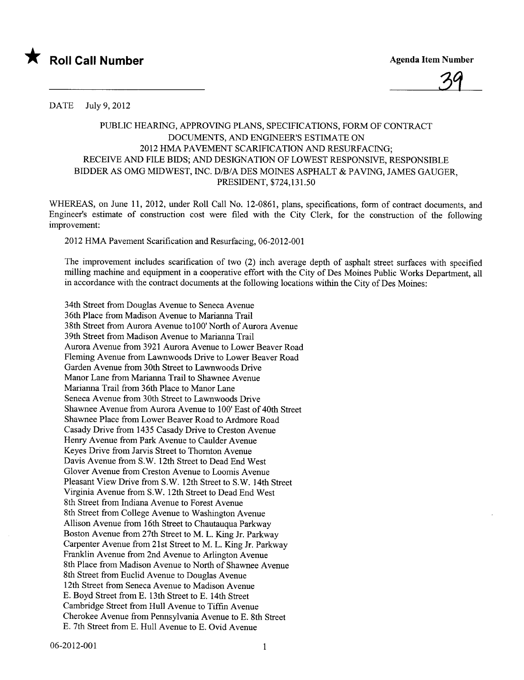



DATE July 9,2012

## PUBLIC HEARING, APPROVING PLANS, SPECIFICATIONS, FORM OF CONTRACT DOCUMENTS, AND ENGINEER'S ESTIMATE ON 2012 HMA PAVEMENT SCARIFICATION AND RESURFACING; RECEIVE AND FILE BIDS; AND DESIGNATION OF LOWEST RESPONSIVE, RESPONSIBLE BIDDER AS OMG MIDWEST, INC. D/B/A DES MOINES ASPHALT & PAVING, JAMES GAUGER, PRESIDENT, \$724,131.50

WHEREAS, on June 11, 2012, under Roll Call No. 12-0861, plans, specifications, form of contract documents, and Engineer's estimate of construction cost were filed with the City Clerk, for the construction of the following improvement:

2012 HMA Pavement Scarification and Resurfacing, 06-2012-001

The improvement includes scarification of two (2) inch average depth of asphalt street surfaces with specified milling machine and equipment in a cooperative effort with the City of Des Moines Public Works Deparment, all in accordance with the contract documents at the following locations within the City of Des Moines:

34th Street from Douglas Avenue to Seneca Avenue 36th Place from Madison Avenue to Marianna Trail 38th Street from Aurora Avenue to100' North of Aurora Avenue 39th Street from Madison Avenue to Mariana Trail Aurora Avenue from 3921 Aurora Avenue to Lower Beaver Road Fleming A venue from Lawnwoods Drive to Lower Beaver Road Garden A venue from 30th Street to Lawnwoods Drive Manor Lane from Marianna Trail to Shawnee Avenue Marianna Trail from 36th Place to Manor Lane Seneca Avenue from 30th Street to Lawnwoods Drive Shawnee Avenue from Aurora Avenue to 100' East of 40th Street Shawnee Place from Lower Beaver Road to Ardmore Road Casady Drive from 1435 Casady Drive to Creston Avenue Henry Avenue from Park Avenue to Caulder Avenue Keyes Drive from Jarvis Street to Thornton Avenue Davis Avenue from S.W. 12th Street to Dead End West Glover Avenue from Creston Avenue to Loomis Avenue Pleasant View Drive from S.W. 12th Street to S.W. 14th Street Virginia Avenue from S.W. 12th Street to Dead End West 8th Street from Indiana Avenue to Forest Avenue 8th Street from College Avenue to Washington Avenue Allison Avenue from 16th Street to Chautauqua Parkway Boston Avenue from 27th Street to M. L. King Jr. Parkway Carpenter Avenue from 21st Street to M. L. King Jr. Parkway Franklin Avenue from 2nd Avenue to Arlington Avenue 8th Place from Madison Avenue to North of Shawnee Avenue 8th Street from Euclid Avenue to Douglas Avenue 12th Street from Seneca Avenue to Madison Avenue E. Boyd Street from E. 13th Street to E. 14th Street Cambridge Street from Hull Avenue to Tiffin Avenue Cherokee Avenue from Pennsylvania Avenue to E. 8th Street E. 7th Street from E. Hull Avenue to E. Ovid Avenue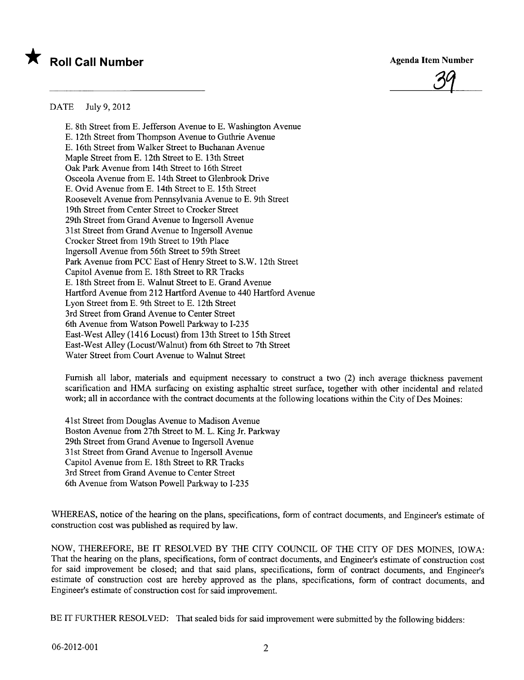



DATE July 9,2012

E. 8th Street from E. Jefferson Avenue to E. Washington Avenue E. 12th Street from Thompson Avenue to Guthrie Avenue E. 16th Street from Walker Street to Buchanan Avenue Maple Street from E. 12th Street to E. 13th Street Oak Park Avenue from 14th Street to 16th Street Osceola Avenue from E. 14th Street to Glenbrook Drive E. Ovid Avenue from E. 14th Street to E. 15th Street Roosevelt Avenue from Pennsylvania Avenue to E. 9th Street 19th Street from Center Street to Crocker Street 29th Street from Grand Avenue to Ingersoll Avenue 31 st Street from Grand Avenue to Ingersoll Avenue Crocker Street from 19th Street to 19th Place Ingersoll Avenue from 56th Street to 59th Street Park Avenue from PCC East of Henry Street to S.W. 12th Street Capitol Avenue from E. 18th Street to RR Tracks E. 18th Street from E. Walnut Street to E. Grand Avenue Hartford Avenue from 212 Harford Avenue to 440 Hartford Avenue Lyon Street from E. 9th Street to E. 12th Street 3rd Street from Grand Avenue to Center Street 6th Avenue from Watson Powell Parkway to 1-235 East-West Alley (1416 Locust) from 13th Street to 15th Street East-West Alley (Locust/Walnut) from 6th Street to 7th Street Water Street from Court Avenue to Walnut Street

Furnish all labor, materials and equipment necessary to construct a two (2) inch average thickness pavement scarification and HMA surfacing on existing asphaltic street surface, together with other incidental and related work; all in accordance with the contract documents at the following locations within the City of Des Moines:

41st Street from Douglas Avenue to Madison Avenue Boston Avenue from 27th Street to M. L. King Jr. Parkway 29th Street from Grand Avenue to Ingersoll Avenue 31st Street from Grand Avenue to Ingersoll Avenue Capitol Avenue from E. 18th Street to RR Tracks 3rd Street from Grand Avenue to Center Street 6th Avenue from Watson Powell Parkway to 1-235

WHEREAS, notice of the hearing on the plans, specifications, form of contract documents, and Engineer's estimate of construction cost was published as required by law.

NOW, THEREFORE, BE IT RESOLVED BY THE CITY COUNCIL OF THE CITY OF DES MOINES, IOWA: That the hearing on the plans, specifications, form of contract documents, and Engineer's estimate of construction cost for said improvement be closed; and that said plans, specifications, form of contract documents, and Engineer's estimate of construction cost are hereby approved as the plans, specifications, form of contract documents, and Engineer's estimate of construction cost for said improvement.

BE IT FURTHER RESOLVED: That sealed bids for said improvement were submitted by the following bidders: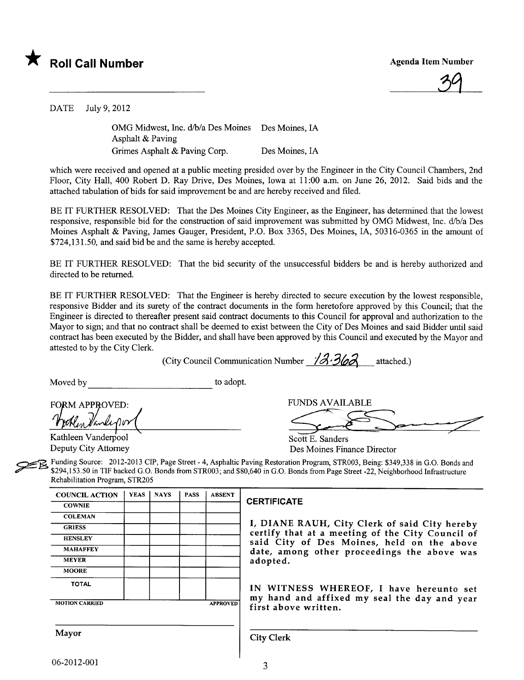



DATE July 9,2012

OMG Midwest, Inc. d/b/a Des Moines Des Moines, IA Asphalt & Paving Grimes Asphalt & Paving Corp. Des Moines, IA

which were received and opened at a public meeting presided over by the Engineer in the City Council Chambers, 2nd Floor, City Hall, 400 Robert D. Ray Drive, Des Moines, Iowa at 11 :00 a.m. on June 26, 2012. Said bids and the attached tabulation of bids for said improvement be and are hereby received and filed.

BE IT FURTHER RESOLVED: That the Des Moines City Engineer, as the Engineer, has determined that the lowest responsive, responsible bid for the construction of said improvement was submitted by OMG Midwest, Inc. d/b/a Des Moines Asphalt & Paving, James Gauger, President, P.O. Box 3365, Des Moines, lA, 50316-0365 in the amount of \$724,131.50, and said bid be and the same is hereby accepted.

BE IT FURTHER RESOLVED: That the bid security of the unsuccessful bidders be and is hereby authorized and directed to be returned.

BE IT FURTHER RESOLVED: That the Engineer is hereby directed to secure execution by the lowest responsible, responsive Bidder and its surety of the contract documents in the form heretofore approved by this Council; that the Engineer is directed to thereafter present said contract documents to this Council for approval and authorization to the Mayor to sign; and that no contract shall be deemed to exist between the City of Des Moines and said Bidder until said contract has been executed by the Bidder, and shall have been approved by this Council and executed by the Mayor and attested to by the City Clerk.

(City Council Communication Number  $\sqrt{3}/\sqrt{36}$  attached.)

Moved by to adopt.

FORM APPROVED:<br>FORM APPROVED:<br>Kathleen Vanderpool Scott E. Sanders

Deputy City Attorney **Des Moines Finance Director** Des Moines Finance Director

Funding Source: 2012-2013 CIP, Page Street - 4, Asphaltic Paving Restoration Program, STR003, Being: \$349,338 in G.O. Bonds and \$294,153.50 in TIF backed G.O. Bonds from STR003; and \$80,640 in G.O. Bonds from Page Street -22, Neighborhood Infrastructure Rehabilitation Program, STRZ05

| <b>COUNCIL ACTION</b> | <b>YEAS</b> | <b>NAYS</b> | <b>PASS</b> | <b>ABSENT</b>   |
|-----------------------|-------------|-------------|-------------|-----------------|
| <b>COWNIE</b>         |             |             |             |                 |
| <b>COLEMAN</b>        |             |             |             |                 |
| <b>GRIESS</b>         |             |             |             |                 |
| <b>HENSLEY</b>        |             |             |             |                 |
| <b>MAHAFFEY</b>       |             |             |             |                 |
| <b>MEYER</b>          |             |             |             |                 |
| <b>MOORE</b>          |             |             |             |                 |
| <b>TOTAL</b>          |             |             |             |                 |
| <b>MOTION CARRIED</b> |             |             |             | <b>APPROVED</b> |

## **CERTIFICATE**

I, DIANE RAUH, City Clerk of said City hereby certify that at a meeting of the City Council of said City of Des Moines, held on the above date, among other proceedings the above was adopted.

IN WITNESS WHEREOF, I have hereunto set my hand and affixed my seal the day and year first above written.

Mayor Gity Clerk